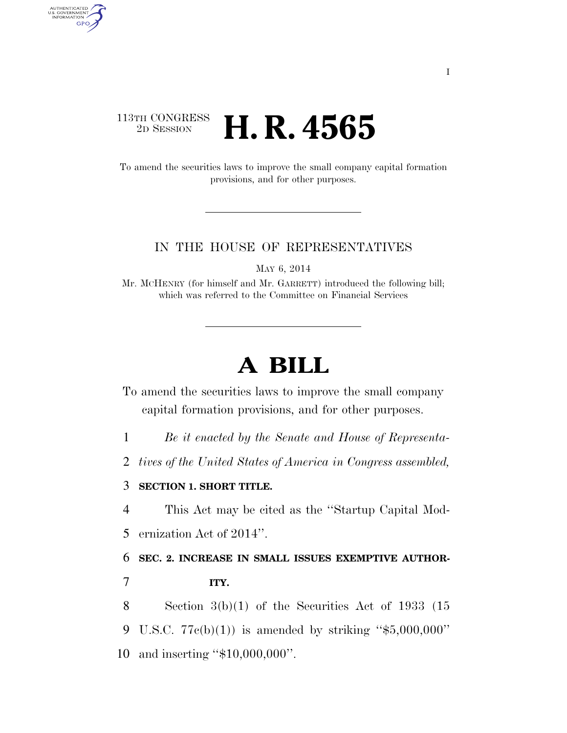## $\begin{array}{c} \textbf{113TH CONGRESS} \\ \textbf{2D} \textbf{Session} \end{array}$ 2D SESSION **H. R. 4565**

AUTHENTICATED<br>U.S. GOVERNMENT<br>INFORMATION GPO

> To amend the securities laws to improve the small company capital formation provisions, and for other purposes.

### IN THE HOUSE OF REPRESENTATIVES

MAY 6, 2014

Mr. MCHENRY (for himself and Mr. GARRETT) introduced the following bill; which was referred to the Committee on Financial Services

# **A BILL**

To amend the securities laws to improve the small company capital formation provisions, and for other purposes.

1 *Be it enacted by the Senate and House of Representa-*

2 *tives of the United States of America in Congress assembled,* 

### 3 **SECTION 1. SHORT TITLE.**

4 This Act may be cited as the ''Startup Capital Mod-

5 ernization Act of 2014''.

6 **SEC. 2. INCREASE IN SMALL ISSUES EXEMPTIVE AUTHOR-**7 **ITY.** 

8 Section 3(b)(1) of the Securities Act of 1933 (15 9 U.S.C.  $77c(b)(1)$  is amended by striking "\$5,000,000" 10 and inserting ''\$10,000,000''.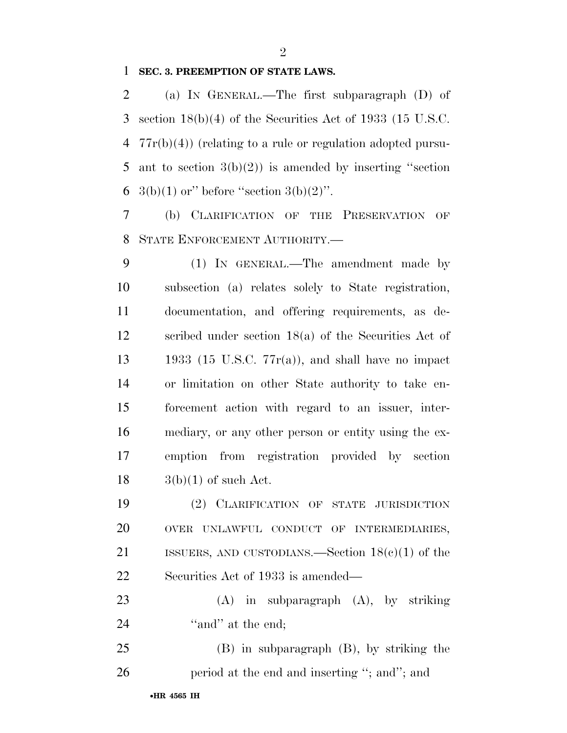**SEC. 3. PREEMPTION OF STATE LAWS.** 

 (a) IN GENERAL.—The first subparagraph (D) of section 18(b)(4) of the Securities Act of 1933 (15 U.S.C. 77r(b)(4)) (relating to a rule or regulation adopted pursu- ant to section 3(b)(2)) is amended by inserting ''section 6 3(b)(1) or" before "section  $3(b)(2)$ ".

 (b) CLARIFICATION OF THE PRESERVATION OF STATE ENFORCEMENT AUTHORITY.—

 (1) IN GENERAL.—The amendment made by subsection (a) relates solely to State registration, documentation, and offering requirements, as de- scribed under section 18(a) of the Securities Act of 13 1933 (15 U.S.C.  $77r(a)$ ), and shall have no impact or limitation on other State authority to take en- forcement action with regard to an issuer, inter- mediary, or any other person or entity using the ex- emption from registration provided by section  $18 \qquad \qquad 3(b)(1)$  of such Act.

 (2) CLARIFICATION OF STATE JURISDICTION OVER UNLAWFUL CONDUCT OF INTERMEDIARIES, ISSUERS, AND CUSTODIANS.—Section 18(c)(1) of the Securities Act of 1933 is amended—

 (A) in subparagraph (A), by striking 24 "and" at the end;

 (B) in subparagraph (B), by striking the 26 period at the end and inserting "; and"; and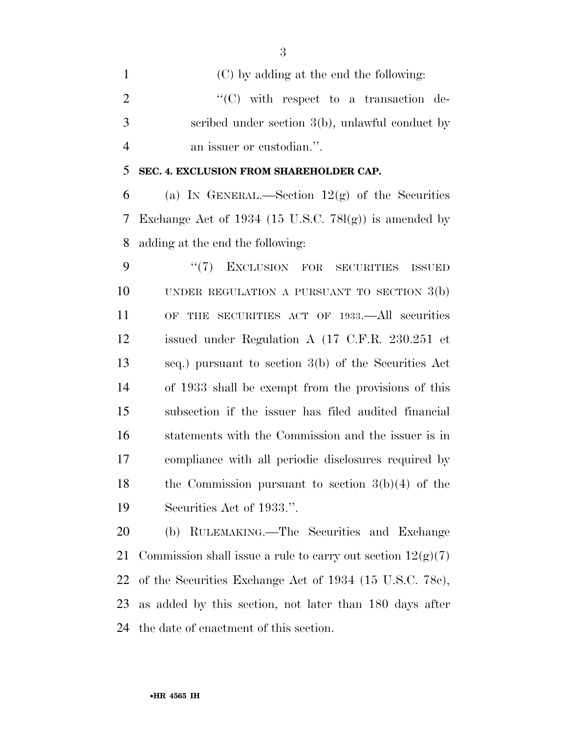(C) by adding at the end the following:  $\langle ^{\prime}(C) \rangle$  with respect to a transaction de- scribed under section 3(b), unlawful conduct by an issuer or custodian.''.

**SEC. 4. EXCLUSION FROM SHAREHOLDER CAP.** 

6 (a) IN GENERAL.—Section  $12(g)$  of the Securities 7 Exchange Act of 1934 (15 U.S.C.  $78l(g)$ ) is amended by adding at the end the following:

9 "(7) EXCLUSION FOR SECURITIES ISSUED UNDER REGULATION A PURSUANT TO SECTION 3(b) OF THE SECURITIES ACT OF 1933.—All securities issued under Regulation A (17 C.F.R. 230.251 et seq.) pursuant to section 3(b) of the Securities Act of 1933 shall be exempt from the provisions of this subsection if the issuer has filed audited financial statements with the Commission and the issuer is in compliance with all periodic disclosures required by the Commission pursuant to section 3(b)(4) of the Securities Act of 1933.''.

 (b) RULEMAKING.—The Securities and Exchange 21 Commission shall issue a rule to carry out section  $12(g(7))$  of the Securities Exchange Act of 1934 (15 U.S.C. 78c), as added by this section, not later than 180 days after the date of enactment of this section.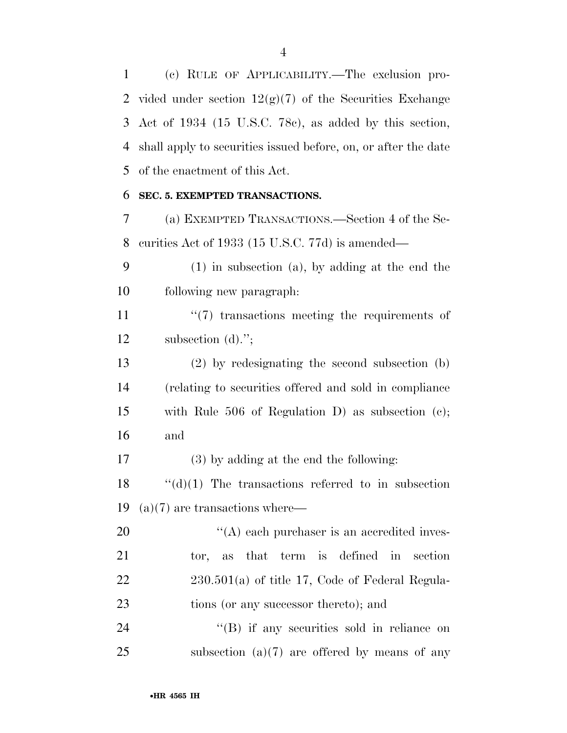(c) RULE OF APPLICABILITY.—The exclusion pro-2 vided under section  $12(g)(7)$  of the Securities Exchange Act of 1934 (15 U.S.C. 78c), as added by this section, shall apply to securities issued before, on, or after the date of the enactment of this Act.

#### **SEC. 5. EXEMPTED TRANSACTIONS.**

 (a) EXEMPTED TRANSACTIONS.—Section 4 of the Se-curities Act of 1933 (15 U.S.C. 77d) is amended—

 (1) in subsection (a), by adding at the end the following new paragraph:

 $\frac{11}{2}$  ''(7) transactions meeting the requirements of subsection (d).'';

 (2) by redesignating the second subsection (b) (relating to securities offered and sold in compliance with Rule 506 of Regulation D) as subsection (c); and

(3) by adding at the end the following:

18  $\cdot$  "(d)(1) The transactions referred to in subsection (a)(7) are transactions where—

 $\langle (A)$  each purchaser is an accredited inves- tor, as that term is defined in section 230.501(a) of title 17, Code of Federal Regula-23 tions (or any successor thereto); and

24 ''(B) if any securities sold in reliance on 25 subsection  $(a)(7)$  are offered by means of any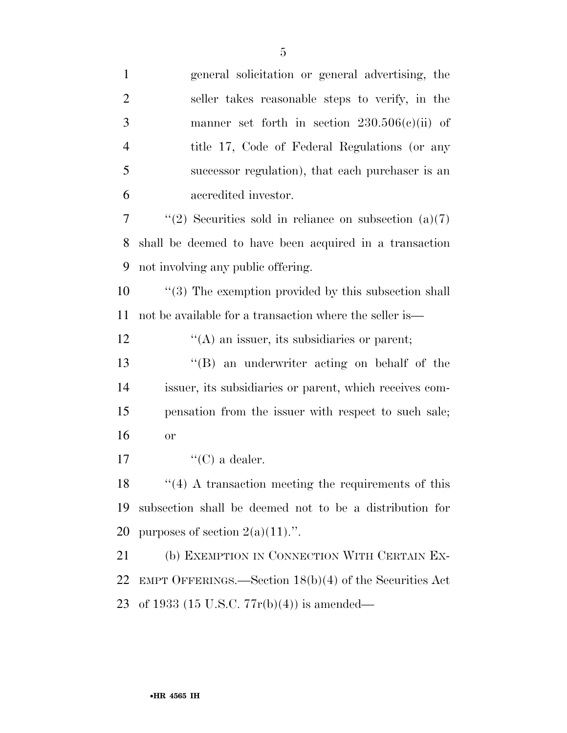| $\mathbf{1}$   | general solicitation or general advertising, the         |
|----------------|----------------------------------------------------------|
| $\overline{2}$ | seller takes reasonable steps to verify, in the          |
| 3              | manner set forth in section $230.506(c)(ii)$ of          |
| 4              | title 17, Code of Federal Regulations (or any            |
| 5              | successor regulation), that each purchaser is an         |
| 6              | accredited investor.                                     |
| 7              | "(2) Securities sold in reliance on subsection $(a)(7)$  |
| 8              | shall be deemed to have been acquired in a transaction   |
| 9              | not involving any public offering.                       |
| 10             | $\lq(3)$ The exemption provided by this subsection shall |
| 11             | not be available for a transaction where the seller is—  |
| 12             | $\lq\lq$ an issuer, its subsidiaries or parent;          |
| 13             | $\lq\lq (B)$ an underwriter acting on behalf of the      |
| 14             | issuer, its subsidiaries or parent, which receives com-  |
| 15             | pensation from the issuer with respect to such sale;     |
| 16             | <b>or</b>                                                |
| 17             | "(C) a dealer.                                           |
| 18             | $\lq(4)$ A transaction meeting the requirements of this  |
| 19             | subsection shall be deemed not to be a distribution for  |
| 20             | purposes of section $2(a)(11)$ .".                       |
| 21             | (b) EXEMPTION IN CONNECTION WITH CERTAIN EX-             |
| 22             | EMPT OFFERINGS.—Section $18(b)(4)$ of the Securities Act |
| 23             | of 1933 (15 U.S.C. $77r(b)(4)$ ) is amended—             |
|                |                                                          |